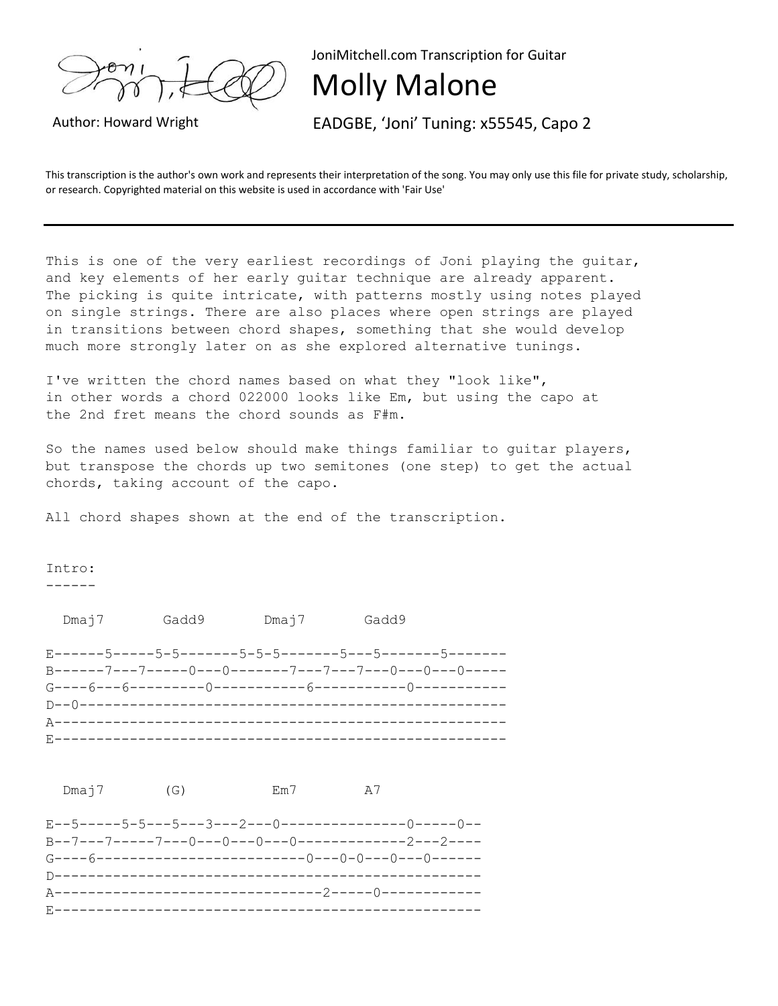

JoniMitchell.com Transcription for Guitar

## Molly Malone

Author: Howard Wright EADGBE, 'Joni' Tuning: x55545, Capo 2

This transcription is the author's own work and represents their interpretation of the song. You may only use this file for private study, scholarship, or research. Copyrighted material on this website is used in accordance with 'Fair Use'

This is one of the very earliest recordings of Joni playing the guitar, and key elements of her early guitar technique are already apparent. The picking is quite intricate, with patterns mostly using notes played on single strings. There are also places where open strings are played in transitions between chord shapes, something that she would develop much more strongly later on as she explored alternative tunings.

I've written the chord names based on what they "look like", in other words a chord 022000 looks like Em, but using the capo at the 2nd fret means the chord sounds as F#m.

So the names used below should make things familiar to guitar players, but transpose the chords up two semitones (one step) to get the actual chords, taking account of the capo.

All chord shapes shown at the end of the transcription.

Intro: ------

Dmaj7 Gadd9 Dmaj7 Gadd9 E------5-----5-5-------5-5-5-------5---5-------5------- B------7---7-----0---0-------7---7---7---0---0---0----- G----6---6---------0-----------6-----------0----------- D--0--------------------------------------------------- A------------------------------------------------------ E------------------------------------------------------

Dmaj7 (G) Em7 A7 E--5-----5-5---5---3---2---0---------------0-----0-- B--7---7-----7---0---0---0---0-------------2---2---- G----6-------------------------0---0-0---0---0------ D--------------------------------------------------- A--------------------------------2-----0------------ E---------------------------------------------------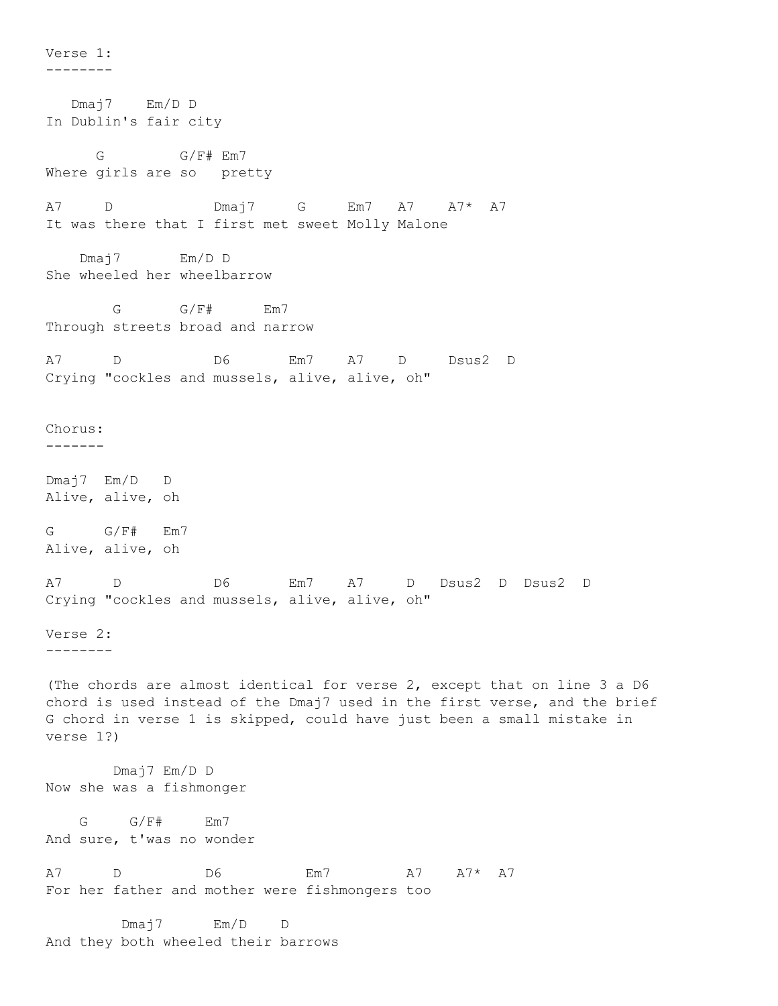Verse 1: -------- Dmaj7 Em/D D In Dublin's fair city G G/F# Em7 Where girls are so pretty A7 D Dmaj7 G Em7 A7 A7\* A7 It was there that I first met sweet Molly Malone Dmaj7 Em/D D She wheeled her wheelbarrow G G/F# Em7 Through streets broad and narrow A7 D D6 Em7 A7 D Dsus2 D Crying "cockles and mussels, alive, alive, oh" Chorus: ------- Dmaj7 Em/D D Alive, alive, oh G G/F# Em7 Alive, alive, oh A7 D D6 Em7 A7 D Dsus2 D Dsus2 D Crying "cockles and mussels, alive, alive, oh" Verse 2: -------- (The chords are almost identical for verse 2, except that on line 3 a D6 chord is used instead of the Dmaj7 used in the first verse, and the brief G chord in verse 1 is skipped, could have just been a small mistake in verse 1?) Dmaj7 Em/D D Now she was a fishmonger  $G$   $G/F#$   $Em7$ And sure, t'was no wonder  $A7$  D D6 Em7  $A7$   $A7*$   $A7$ For her father and mother were fishmongers too Dmaj7 Em/D D And they both wheeled their barrows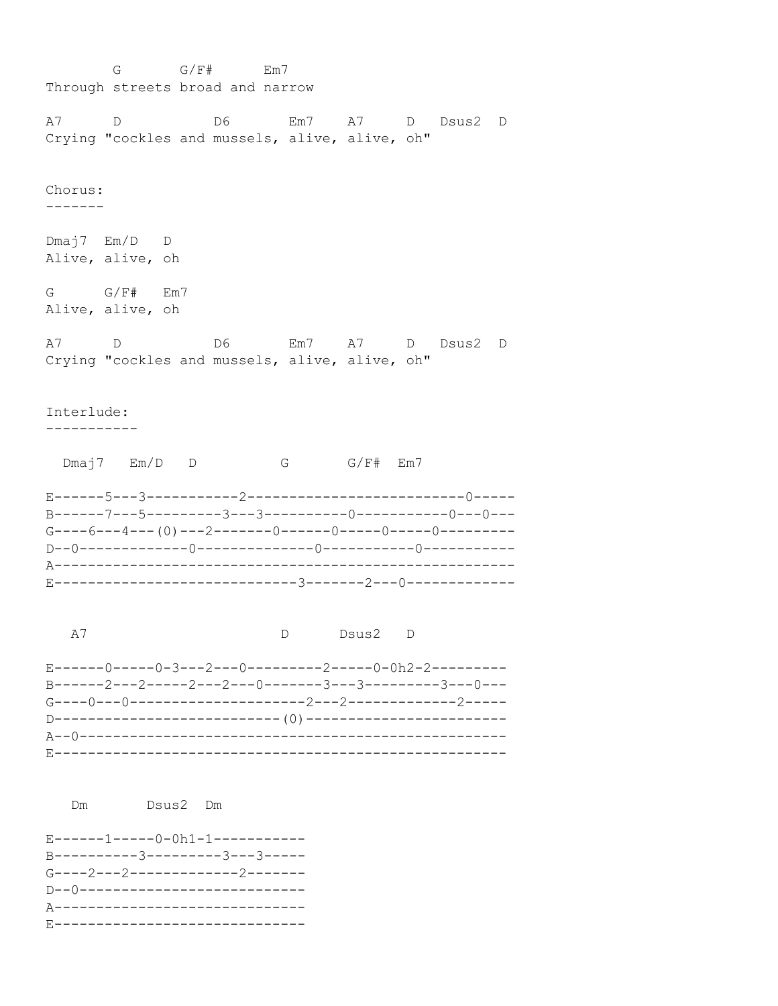$G/F#$ G Em7 Through streets broad and narrow  $A7$  $\mathbb{D}$  $Em7$ D<sub>6</sub> A7 D Dsus2 D Crying "cockles and mussels, alive, alive, oh" Chorus: ------- $Dma17$   $Em/D$  $\mathbb{D}$ Alive, alive, oh  $G/F#$  $Em7$ G Alive, alive, oh  $Em7 \qquad A7$  $A7$  $D$ D6  $D$ Dsus2 D Crying "cockles and mussels, alive, alive, oh" Interlude: ----------- $G/F#$  Em7  $Dmaj7$  $Em/D$  $\mathbb D$  $G$  $A7$  $\mathbb{D}$ Dsus2  $\mathbb{D}$ Dm Dsus2 Dm E------1-----0-0h1-1-----------B----------3---------3---3----- $G---2---2------------2------2------$ D--0---------------------------A------------------------------

E-------------------------------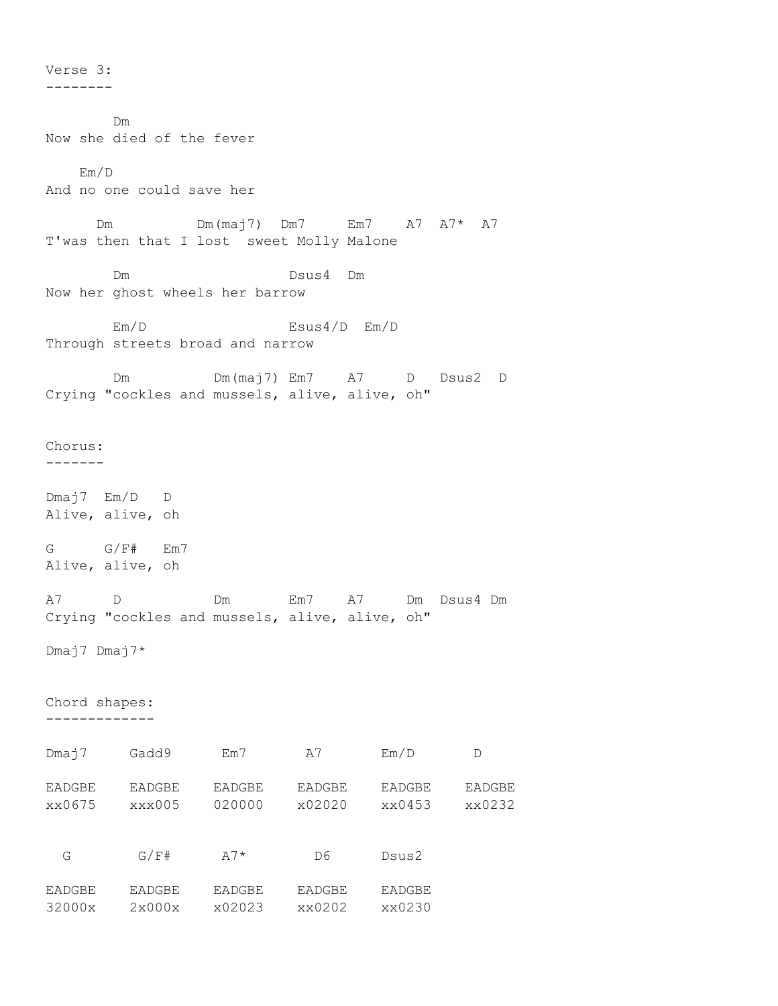Verse 3: -------- Dm Now she died of the fever Em/D And no one could save her Dm Dm(maj7) Dm7 Em7 A7 A7\* A7 T'was then that I lost sweet Molly Malone Dm Dsus4 Dm Now her ghost wheels her barrow Em/D Esus4/D Em/D Through streets broad and narrow Dm Dm(maj7) Em7 A7 D Dsus2 D Crying "cockles and mussels, alive, alive, oh" Chorus: ------- Dmaj7 Em/D D Alive, alive, oh G G/F# Em7 Alive, alive, oh A7 D Dm Em7 A7 Dm Dsus4 Dm Crying "cockles and mussels, alive, alive, oh" Dmaj7 Dmaj7\* Chord shapes: ------------- Dmaj7 Gadd9 Em7 A7 Em/D D EADGBE EADGBE EADGBE EADGBE EADGBE EADGBE xx0675 xxx005 020000 x02020 xx0453 xx0232 G  $G/F#$   $A7*$  D6 Dsus2 EADGBE EADGBE EADGBE EADGBE EADGBE 32000x 2x000x x02023 xx0202 xx0230